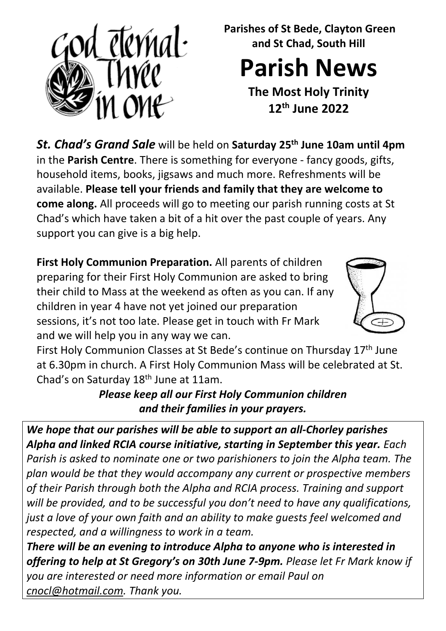

**Parishes of St Bede, Clayton Green and St Chad, South Hill**

**Parish News**

**The Most Holy Trinity 12th June 2022** 

*St. Chad's Grand Sale* will be held on **Saturday 25th June 10am until 4pm** in the **Parish Centre**. There is something for everyone - fancy goods, gifts, household items, books, jigsaws and much more. Refreshments will be available. **Please tell your friends and family that they are welcome to come along.** All proceeds will go to meeting our parish running costs at St Chad's which have taken a bit of a hit over the past couple of years. Any support you can give is a big help.

**First Holy Communion Preparation.** All parents of children preparing for their First Holy Communion are asked to bring their child to Mass at the weekend as often as you can. If any children in year 4 have not yet joined our preparation sessions, it's not too late. Please get in touch with Fr Mark and we will help you in any way we can.



First Holy Communion Classes at St Bede's continue on Thursday 17th June at 6.30pm in church. A First Holy Communion Mass will be celebrated at St. Chad's on Saturday 18<sup>th</sup> June at 11am.

*Please keep all our First Holy Communion children and their families in your prayers.*

*We hope that our parishes will be able to support an all-Chorley parishes Alpha and linked RCIA course initiative, starting in September this year. Each Parish is asked to nominate one or two parishioners to join the Alpha team. The plan would be that they would accompany any current or prospective members of their Parish through both the Alpha and RCIA process. Training and support will be provided, and to be successful you don't need to have any qualifications, just a love of your own faith and an ability to make guests feel welcomed and respected, and a willingness to work in a team.* 

*There will be an evening to introduce Alpha to anyone who is interested in offering to help at St Gregory's on 30th June 7-9pm. Please let Fr Mark know if you are interested or need more information or email Paul on [cnocl@hotmail.com.](mailto:cnocl@hotmail.com) Thank you.*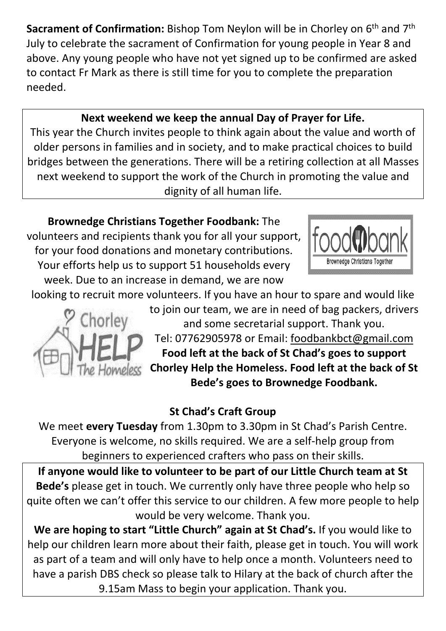**Sacrament of Confirmation:** Bishop Tom Neylon will be in Chorley on 6<sup>th</sup> and 7<sup>th</sup> July to celebrate the sacrament of Confirmation for young people in Year 8 and above. Any young people who have not yet signed up to be confirmed are asked to contact Fr Mark as there is still time for you to complete the preparation needed.

## **Next weekend we keep the annual Day of Prayer for Life.**

This year the Church invites people to think again about the value and worth of older persons in families and in society, and to make practical choices to build bridges between the generations. There will be a retiring collection at all Masses next weekend to support the work of the Church in promoting the value and dignity of all human life.

**Brownedge Christians Together Foodbank:** The volunteers and recipients thank you for all your support, for your food donations and monetary contributions. Your efforts help us to support 51 households every week. Due to an increase in demand, we are now



looking to recruit more volunteers. If you have an hour to spare and would like



to join our team, we are in need of bag packers, drivers and some secretarial support. Thank you. Tel: 07762905978 or Email: [foodbankbct@gmail.com](mailto:foodbankbct@gmail.com)  **Food left at the back of St Chad's goes to support Chorley Help the Homeless. Food left at the back of St Bede's goes to Brownedge Foodbank.** 

## **St Chad's Craft Group**

We meet **every Tuesday** from 1.30pm to 3.30pm in St Chad's Parish Centre. Everyone is welcome, no skills required. We are a self-help group from beginners to experienced crafters who pass on their skills.

**If anyone would like to volunteer to be part of our Little Church team at St Bede's** please get in touch. We currently only have three people who help so quite often we can't offer this service to our children. A few more people to help would be very welcome. Thank you.

**We are hoping to start "Little Church" again at St Chad's.** If you would like to help our children learn more about their faith, please get in touch. You will work as part of a team and will only have to help once a month. Volunteers need to have a parish DBS check so please talk to Hilary at the back of church after the 9.15am Mass to begin your application. Thank you.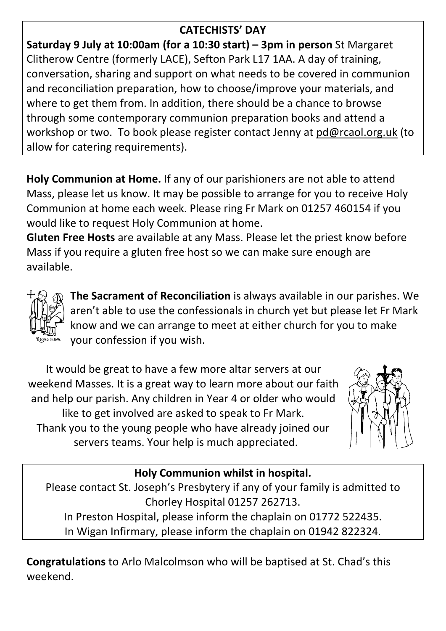## **CATECHISTS' DAY**

**Saturday 9 July at 10:00am (for a 10:30 start) – 3pm in person** St Margaret Clitherow Centre (formerly LACE), Sefton Park L17 1AA. A day of training, conversation, sharing and support on what needs to be covered in communion and reconciliation preparation, how to choose/improve your materials, and where to get them from. In addition, there should be a chance to browse through some contemporary communion preparation books and attend a workshop or two. To book please register contact Jenny at [pd@rcaol.org.uk](mailto:pd@rcaol.org.uk) (to allow for catering requirements).

**Holy Communion at Home.** If any of our parishioners are not able to attend Mass, please let us know. It may be possible to arrange for you to receive Holy Communion at home each week. Please ring Fr Mark on 01257 460154 if you would like to request Holy Communion at home.

**Gluten Free Hosts** are available at any Mass. Please let the priest know before Mass if you require a gluten free host so we can make sure enough are available.



**The Sacrament of Reconciliation** is always available in our parishes. We aren't able to use the confessionals in church yet but please let Fr Mark know and we can arrange to meet at either church for you to make your confession if you wish.

It would be great to have a few more altar servers at our weekend Masses. It is a great way to learn more about our faith and help our parish. Any children in Year 4 or older who would like to get involved are asked to speak to Fr Mark. Thank you to the young people who have already joined our servers teams. Your help is much appreciated.



# **Holy Communion whilst in hospital.**

Please contact St. Joseph's Presbytery if any of your family is admitted to Chorley Hospital 01257 262713. In Preston Hospital, please inform the chaplain on 01772 522435. In Wigan Infirmary, please inform the chaplain on 01942 822324.

**Congratulations** to Arlo Malcolmson who will be baptised at St. Chad's this weekend.